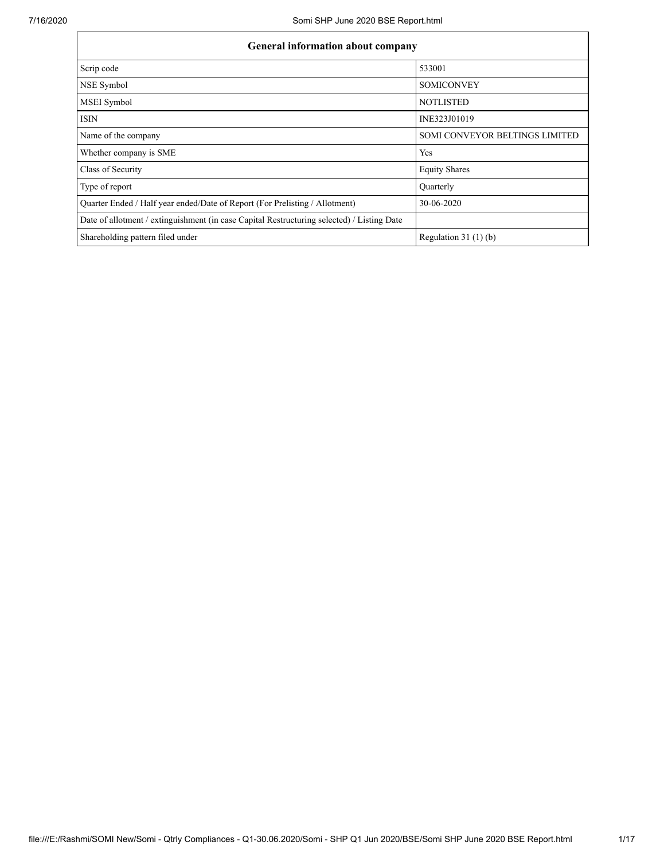| <b>General information about company</b>                                                   |                                |  |  |  |  |  |
|--------------------------------------------------------------------------------------------|--------------------------------|--|--|--|--|--|
| Scrip code                                                                                 | 533001                         |  |  |  |  |  |
| NSE Symbol                                                                                 | <b>SOMICONVEY</b>              |  |  |  |  |  |
| <b>MSEI</b> Symbol                                                                         | <b>NOTLISTED</b>               |  |  |  |  |  |
| <b>ISIN</b>                                                                                | INE323J01019                   |  |  |  |  |  |
| Name of the company                                                                        | SOMI CONVEYOR BELTINGS LIMITED |  |  |  |  |  |
| Whether company is SME                                                                     | Yes                            |  |  |  |  |  |
| Class of Security                                                                          | <b>Equity Shares</b>           |  |  |  |  |  |
| Type of report                                                                             | Ouarterly                      |  |  |  |  |  |
| Quarter Ended / Half year ended/Date of Report (For Prelisting / Allotment)                | 30-06-2020                     |  |  |  |  |  |
| Date of allotment / extinguishment (in case Capital Restructuring selected) / Listing Date |                                |  |  |  |  |  |
| Shareholding pattern filed under                                                           | Regulation $31(1)(b)$          |  |  |  |  |  |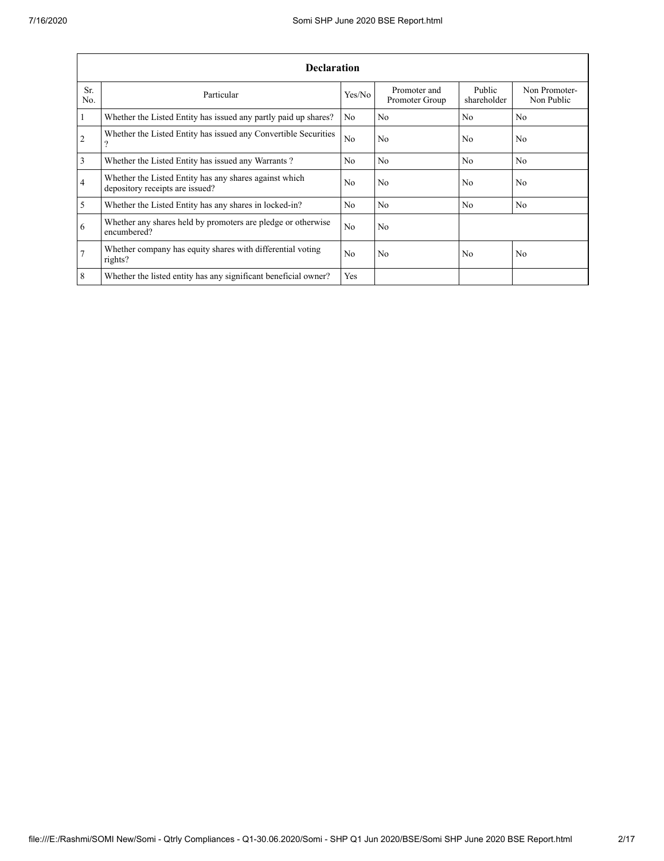|                | <b>Declaration</b>                                                                        |                |                                |                       |                             |  |  |  |  |
|----------------|-------------------------------------------------------------------------------------------|----------------|--------------------------------|-----------------------|-----------------------------|--|--|--|--|
| Sr.<br>No.     | Particular                                                                                | Yes/No         | Promoter and<br>Promoter Group | Public<br>shareholder | Non Promoter-<br>Non Public |  |  |  |  |
| $\overline{1}$ | Whether the Listed Entity has issued any partly paid up shares?                           | No             | N <sub>0</sub>                 | N <sub>0</sub>        | N <sub>0</sub>              |  |  |  |  |
| $\overline{2}$ | Whether the Listed Entity has issued any Convertible Securities<br>?                      | N <sub>0</sub> | N <sub>0</sub>                 | N <sub>0</sub>        | N <sub>0</sub>              |  |  |  |  |
| $\overline{3}$ | Whether the Listed Entity has issued any Warrants?                                        | No.            | N <sub>0</sub>                 | N <sub>0</sub>        | N <sub>0</sub>              |  |  |  |  |
| $\overline{4}$ | Whether the Listed Entity has any shares against which<br>depository receipts are issued? | No.            | N <sub>0</sub>                 | N <sub>0</sub>        | N <sub>0</sub>              |  |  |  |  |
| $\overline{5}$ | Whether the Listed Entity has any shares in locked-in?                                    | No.            | N <sub>0</sub>                 | N <sub>0</sub>        | N <sub>0</sub>              |  |  |  |  |
| 6              | Whether any shares held by promoters are pledge or otherwise<br>encumbered?               | N <sub>0</sub> | N <sub>0</sub>                 |                       |                             |  |  |  |  |
| $\overline{7}$ | Whether company has equity shares with differential voting<br>rights?                     | No.            | N <sub>0</sub>                 | N <sub>0</sub>        | No.                         |  |  |  |  |
| 8              | Whether the listed entity has any significant beneficial owner?                           | Yes            |                                |                       |                             |  |  |  |  |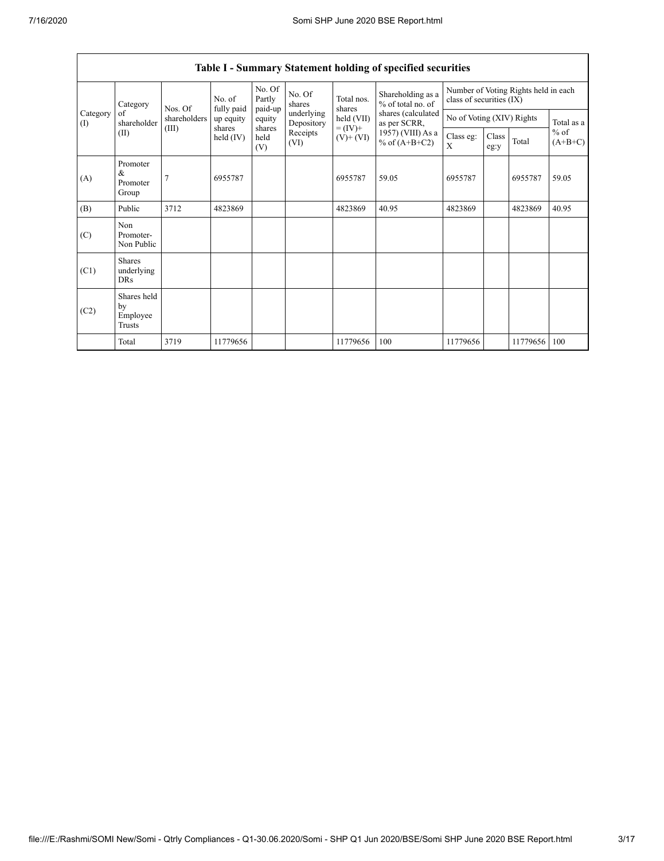| Category<br>of<br>Category<br>shareholder<br>(1)<br>(II) |                                                | Nos. Of               | No. of<br>fully paid  | No. Of<br>Partly<br>paid-up | No. Of<br>shares         | Total nos.<br>shares<br>held (VII)   | Shareholding as a<br>% of total no. of<br>shares (calculated<br>as per SCRR, | Number of Voting Rights held in each<br>class of securities (IX) |       |                     |            |
|----------------------------------------------------------|------------------------------------------------|-----------------------|-----------------------|-----------------------------|--------------------------|--------------------------------------|------------------------------------------------------------------------------|------------------------------------------------------------------|-------|---------------------|------------|
|                                                          |                                                | shareholders          | up equity             | equity                      | underlying<br>Depository |                                      |                                                                              | No of Voting (XIV) Rights                                        |       |                     | Total as a |
|                                                          | (III)                                          | shares<br>held $(IV)$ | shares<br>held<br>(V) | Receipts<br>(VI)            | $= (IV) +$<br>$(V)+(VI)$ | 1957) (VIII) As a<br>% of $(A+B+C2)$ | Class eg:<br>X                                                               | Class<br>eg:y                                                    | Total | $%$ of<br>$(A+B+C)$ |            |
| (A)                                                      | Promoter<br>&<br>Promoter<br>Group             | 7                     | 6955787               |                             |                          | 6955787                              | 59.05                                                                        | 6955787                                                          |       | 6955787             | 59.05      |
| (B)                                                      | Public                                         | 3712                  | 4823869               |                             |                          | 4823869                              | 40.95                                                                        | 4823869                                                          |       | 4823869             | 40.95      |
| (C)                                                      | Non<br>Promoter-<br>Non Public                 |                       |                       |                             |                          |                                      |                                                                              |                                                                  |       |                     |            |
| (C1)                                                     | <b>Shares</b><br>underlying<br><b>DRs</b>      |                       |                       |                             |                          |                                      |                                                                              |                                                                  |       |                     |            |
| (C2)                                                     | Shares held<br>by<br>Employee<br><b>Trusts</b> |                       |                       |                             |                          |                                      |                                                                              |                                                                  |       |                     |            |
|                                                          | Total                                          | 3719                  | 11779656              |                             |                          | 11779656                             | 100                                                                          | 11779656                                                         |       | 11779656            | 100        |

## **Table I - Summary Statement holding of specified securities**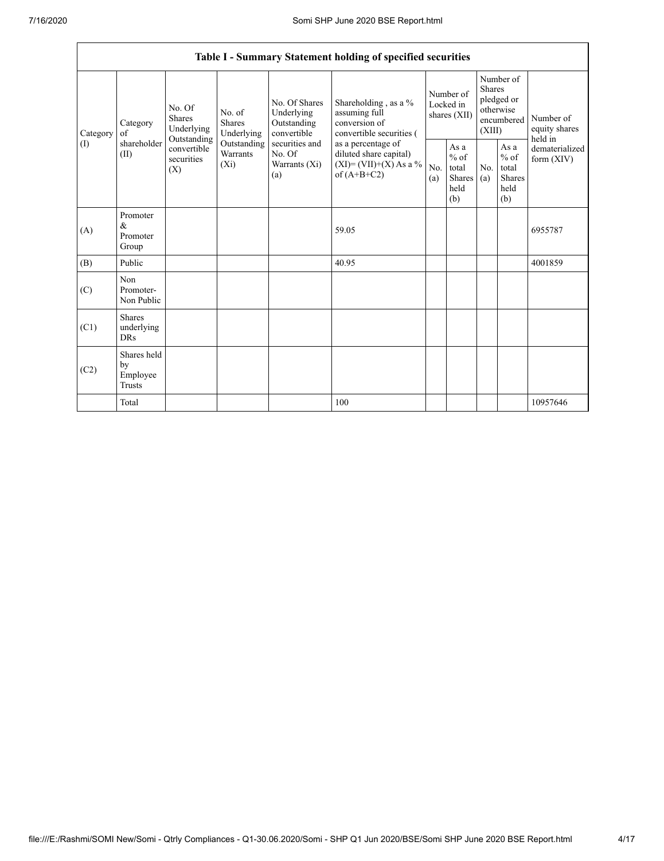|          | Table I - Summary Statement holding of specified securities |                                                 |                                       |                                                                                                                                                                                                                                              |                           |                                        |                                                    |                                                                               |                                                         |                                           |
|----------|-------------------------------------------------------------|-------------------------------------------------|---------------------------------------|----------------------------------------------------------------------------------------------------------------------------------------------------------------------------------------------------------------------------------------------|---------------------------|----------------------------------------|----------------------------------------------------|-------------------------------------------------------------------------------|---------------------------------------------------------|-------------------------------------------|
| Category | Category<br>of                                              | No. Of<br><b>Shares</b><br>Underlying           | No. of<br><b>Shares</b><br>Underlying | No. Of Shares<br>Underlying<br>assuming full<br>conversion of<br>Outstanding<br>convertible<br>convertible securities (<br>securities and<br>as a percentage of<br>No. Of<br>diluted share capital)<br>Warrants (Xi)<br>of $(A+B+C2)$<br>(a) | Shareholding, as a %      | Number of<br>Locked in<br>shares (XII) |                                                    | Number of<br><b>Shares</b><br>pledged or<br>otherwise<br>encumbered<br>(XIII) |                                                         | Number of<br>equity shares                |
| (I)      | shareholder<br>(II)                                         | Outstanding<br>convertible<br>securities<br>(X) | Outstanding<br>Warrants<br>$(X_i)$    |                                                                                                                                                                                                                                              | $(XI) = (VII)+(X) As a %$ | No.<br>(a)                             | As $a$<br>$%$ of<br>total<br>Shares<br>held<br>(b) | No.<br>(a)                                                                    | As a<br>$%$ of<br>total<br><b>Shares</b><br>held<br>(b) | held in<br>dematerialized<br>form $(XIV)$ |
| (A)      | Promoter<br>&<br>Promoter<br>Group                          |                                                 |                                       |                                                                                                                                                                                                                                              | 59.05                     |                                        |                                                    |                                                                               |                                                         | 6955787                                   |
| (B)      | Public                                                      |                                                 |                                       |                                                                                                                                                                                                                                              | 40.95                     |                                        |                                                    |                                                                               |                                                         | 4001859                                   |
| (C)      | Non<br>Promoter-<br>Non Public                              |                                                 |                                       |                                                                                                                                                                                                                                              |                           |                                        |                                                    |                                                                               |                                                         |                                           |
| (C1)     | <b>Shares</b><br>underlying<br><b>DRs</b>                   |                                                 |                                       |                                                                                                                                                                                                                                              |                           |                                        |                                                    |                                                                               |                                                         |                                           |
| (C2)     | Shares held<br>by<br>Employee<br>Trusts                     |                                                 |                                       |                                                                                                                                                                                                                                              |                           |                                        |                                                    |                                                                               |                                                         |                                           |
|          | Total                                                       |                                                 |                                       |                                                                                                                                                                                                                                              | 100                       |                                        |                                                    |                                                                               |                                                         | 10957646                                  |

٦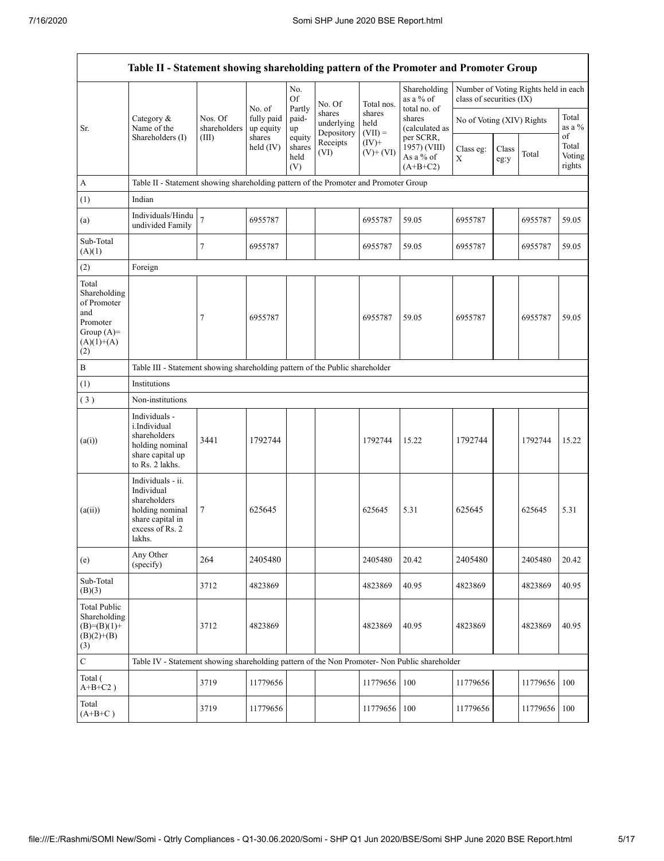$\mathsf{r}$ 

|                                                                                                | Table II - Statement showing shareholding pattern of the Promoter and Promoter Group                                |                         |                                   |                                 |                                    |                             |                                                      |                           |               |                                      |                                 |
|------------------------------------------------------------------------------------------------|---------------------------------------------------------------------------------------------------------------------|-------------------------|-----------------------------------|---------------------------------|------------------------------------|-----------------------------|------------------------------------------------------|---------------------------|---------------|--------------------------------------|---------------------------------|
|                                                                                                |                                                                                                                     |                         | No. of<br>fully paid<br>up equity | No.<br><b>Of</b><br>Partly      | No. Of                             | Total nos.                  | Shareholding<br>as a % of                            | class of securities (IX)  |               | Number of Voting Rights held in each |                                 |
| Sr.                                                                                            | Category &<br>Name of the<br>Shareholders (I)                                                                       | Nos. Of<br>shareholders |                                   | paid-<br>up                     | shares<br>underlying<br>Depository | shares<br>held<br>$(VII) =$ | total no. of<br>shares<br>(calculated as             | No of Voting (XIV) Rights |               |                                      | Total<br>as a $%$               |
|                                                                                                |                                                                                                                     | (III)                   | shares<br>held $(IV)$             | equity<br>shares<br>held<br>(V) | Receipts<br>(VI)                   | $(IV)+$<br>$(V)$ + $(VI)$   | per SCRR,<br>1957) (VIII)<br>As a % of<br>$(A+B+C2)$ | Class eg:<br>X            | Class<br>eg:y | Total                                | of<br>Total<br>Voting<br>rights |
| A                                                                                              | Table II - Statement showing shareholding pattern of the Promoter and Promoter Group                                |                         |                                   |                                 |                                    |                             |                                                      |                           |               |                                      |                                 |
| (1)                                                                                            | Indian                                                                                                              |                         |                                   |                                 |                                    |                             |                                                      |                           |               |                                      |                                 |
| (a)                                                                                            | Individuals/Hindu<br>undivided Family                                                                               | $\overline{7}$          | 6955787                           |                                 |                                    | 6955787                     | 59.05                                                | 6955787                   |               | 6955787                              | 59.05                           |
| Sub-Total<br>(A)(1)                                                                            |                                                                                                                     | 7                       | 6955787                           |                                 |                                    | 6955787                     | 59.05                                                | 6955787                   |               | 6955787                              | 59.05                           |
| (2)                                                                                            | Foreign                                                                                                             |                         |                                   |                                 |                                    |                             |                                                      |                           |               |                                      |                                 |
| Total<br>Shareholding<br>of Promoter<br>and<br>Promoter<br>Group $(A)=$<br>$(A)(1)+(A)$<br>(2) |                                                                                                                     | 7                       | 6955787                           |                                 |                                    | 6955787                     | 59.05                                                | 6955787                   |               | 6955787                              | 59.05                           |
| B                                                                                              | Table III - Statement showing shareholding pattern of the Public shareholder                                        |                         |                                   |                                 |                                    |                             |                                                      |                           |               |                                      |                                 |
| (1)                                                                                            | Institutions                                                                                                        |                         |                                   |                                 |                                    |                             |                                                      |                           |               |                                      |                                 |
| (3)                                                                                            | Non-institutions                                                                                                    |                         |                                   |                                 |                                    |                             |                                                      |                           |               |                                      |                                 |
| (a(i))                                                                                         | Individuals -<br>i.Individual<br>shareholders<br>holding nominal<br>share capital up<br>to Rs. 2 lakhs.             | 3441                    | 1792744                           |                                 |                                    | 1792744                     | 15.22                                                | 1792744                   |               | 1792744                              | 15.22                           |
| (a(ii))                                                                                        | Individuals - ii.<br>Individual<br>shareholders<br>holding nominal<br>share capital in<br>excess of Rs. 2<br>lakhs. | 7                       | 625645                            |                                 |                                    | 625645                      | 5.31                                                 | 625645                    |               | 625645                               | 5.31                            |
| (e)                                                                                            | Any Other<br>(specify)                                                                                              | 264                     | 2405480                           |                                 |                                    | 2405480                     | 20.42                                                | 2405480                   |               | 2405480                              | 20.42                           |
| Sub-Total<br>(B)(3)                                                                            |                                                                                                                     | 3712                    | 4823869                           |                                 |                                    | 4823869                     | 40.95                                                | 4823869                   |               | 4823869                              | 40.95                           |
| <b>Total Public</b><br>Shareholding<br>$(B)=(B)(1)+$<br>$(B)(2)+(B)$<br>(3)                    |                                                                                                                     | 3712                    | 4823869                           |                                 |                                    | 4823869                     | 40.95                                                | 4823869                   |               | 4823869                              | 40.95                           |
| $\mathbf C$                                                                                    | Table IV - Statement showing shareholding pattern of the Non Promoter- Non Public shareholder                       |                         |                                   |                                 |                                    |                             |                                                      |                           |               |                                      |                                 |
| Total (<br>$A+B+C2$ )                                                                          |                                                                                                                     | 3719                    | 11779656                          |                                 |                                    | 11779656                    | 100                                                  | 11779656                  |               | 11779656                             | 100                             |
| Total<br>$(A+B+C)$                                                                             |                                                                                                                     | 3719                    | 11779656                          |                                 |                                    | 11779656                    | 100                                                  | 11779656                  |               | 11779656                             | 100                             |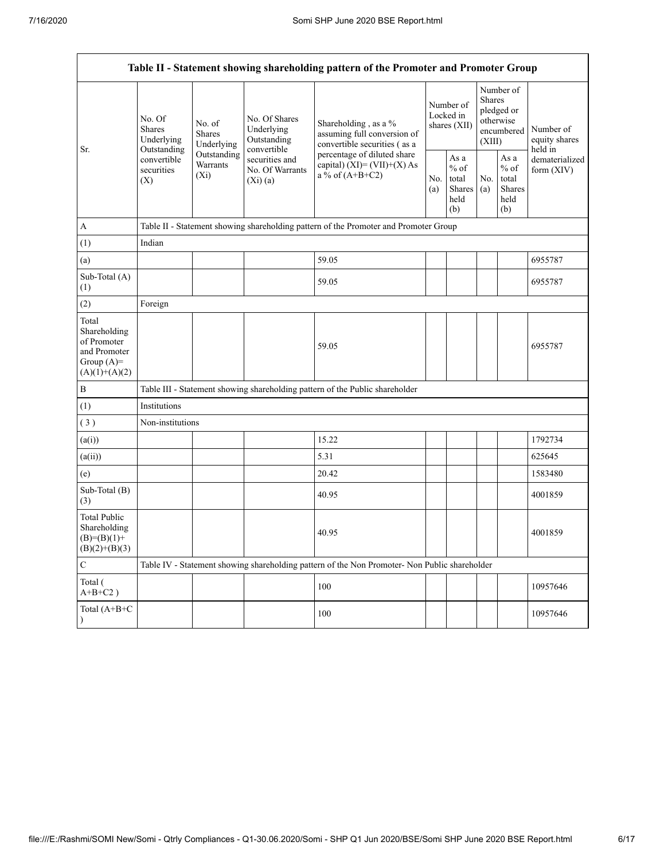$\mathsf{r}$ 

|                                                                                         | Table II - Statement showing shareholding pattern of the Promoter and Promoter Group                                                       |                                                                                      |                                                             |                                                                                                                                                                           |  |                                                  |            |                                                                               |                                       |
|-----------------------------------------------------------------------------------------|--------------------------------------------------------------------------------------------------------------------------------------------|--------------------------------------------------------------------------------------|-------------------------------------------------------------|---------------------------------------------------------------------------------------------------------------------------------------------------------------------------|--|--------------------------------------------------|------------|-------------------------------------------------------------------------------|---------------------------------------|
| Sr.                                                                                     | No. Of<br>No. of<br><b>Shares</b><br><b>Shares</b><br>Underlying<br>Outstanding<br>convertible<br>Warrants<br>securities<br>$(X_i)$<br>(X) | Underlying                                                                           | No. Of Shares<br>Underlying<br>Outstanding                  | Shareholding, as a %<br>assuming full conversion of<br>convertible securities (as a<br>percentage of diluted share<br>capital) $(XI) = (VII)+(X) As$<br>a % of $(A+B+C2)$ |  | Number of<br>Locked in<br>shares (XII)           |            | Number of<br><b>Shares</b><br>pledged or<br>otherwise<br>encumbered<br>(XIII) | Number of<br>equity shares<br>held in |
|                                                                                         |                                                                                                                                            | Outstanding                                                                          | convertible<br>securities and<br>No. Of Warrants<br>(Xi)(a) |                                                                                                                                                                           |  | As a<br>$%$ of<br>total<br>Shares<br>held<br>(b) | No.<br>(a) | As a<br>$%$ of<br>total<br>Shares<br>held<br>(b)                              | dematerialized<br>form $(XIV)$        |
| A                                                                                       |                                                                                                                                            | Table II - Statement showing shareholding pattern of the Promoter and Promoter Group |                                                             |                                                                                                                                                                           |  |                                                  |            |                                                                               |                                       |
| (1)                                                                                     | Indian                                                                                                                                     |                                                                                      |                                                             |                                                                                                                                                                           |  |                                                  |            |                                                                               |                                       |
| (a)                                                                                     |                                                                                                                                            |                                                                                      |                                                             | 59.05                                                                                                                                                                     |  |                                                  |            |                                                                               | 6955787                               |
| Sub-Total (A)<br>(1)                                                                    |                                                                                                                                            |                                                                                      |                                                             | 59.05                                                                                                                                                                     |  |                                                  |            |                                                                               | 6955787                               |
| (2)                                                                                     | Foreign                                                                                                                                    |                                                                                      |                                                             |                                                                                                                                                                           |  |                                                  |            |                                                                               |                                       |
| Total<br>Shareholding<br>of Promoter<br>and Promoter<br>Group $(A)=$<br>$(A)(1)+(A)(2)$ |                                                                                                                                            |                                                                                      |                                                             | 59.05                                                                                                                                                                     |  |                                                  |            |                                                                               | 6955787                               |
| $\, {\bf B}$                                                                            |                                                                                                                                            |                                                                                      |                                                             | Table III - Statement showing shareholding pattern of the Public shareholder                                                                                              |  |                                                  |            |                                                                               |                                       |
| (1)                                                                                     | Institutions                                                                                                                               |                                                                                      |                                                             |                                                                                                                                                                           |  |                                                  |            |                                                                               |                                       |
| (3)                                                                                     | Non-institutions                                                                                                                           |                                                                                      |                                                             |                                                                                                                                                                           |  |                                                  |            |                                                                               |                                       |
| (a(i))                                                                                  |                                                                                                                                            |                                                                                      |                                                             | 15.22                                                                                                                                                                     |  |                                                  |            |                                                                               | 1792734                               |
| (a(ii))                                                                                 |                                                                                                                                            |                                                                                      |                                                             | 5.31                                                                                                                                                                      |  |                                                  |            |                                                                               | 625645                                |
| (e)                                                                                     |                                                                                                                                            |                                                                                      |                                                             | 20.42                                                                                                                                                                     |  |                                                  |            |                                                                               | 1583480                               |
| Sub-Total (B)<br>(3)                                                                    |                                                                                                                                            |                                                                                      |                                                             | 40.95                                                                                                                                                                     |  |                                                  |            |                                                                               | 4001859                               |
| <b>Total Public</b><br>Shareholding<br>$(B)= (B)(1) +$<br>$(B)(2)+(B)(3)$               |                                                                                                                                            |                                                                                      |                                                             | 40.95                                                                                                                                                                     |  |                                                  |            |                                                                               | 4001859                               |
| $\mathbf C$                                                                             |                                                                                                                                            |                                                                                      |                                                             | Table IV - Statement showing shareholding pattern of the Non Promoter- Non Public shareholder                                                                             |  |                                                  |            |                                                                               |                                       |
| Total (<br>$A+B+C2$ )                                                                   |                                                                                                                                            |                                                                                      |                                                             | 100                                                                                                                                                                       |  |                                                  |            |                                                                               | 10957646                              |
| Total (A+B+C                                                                            |                                                                                                                                            |                                                                                      |                                                             | 100                                                                                                                                                                       |  |                                                  |            |                                                                               | 10957646                              |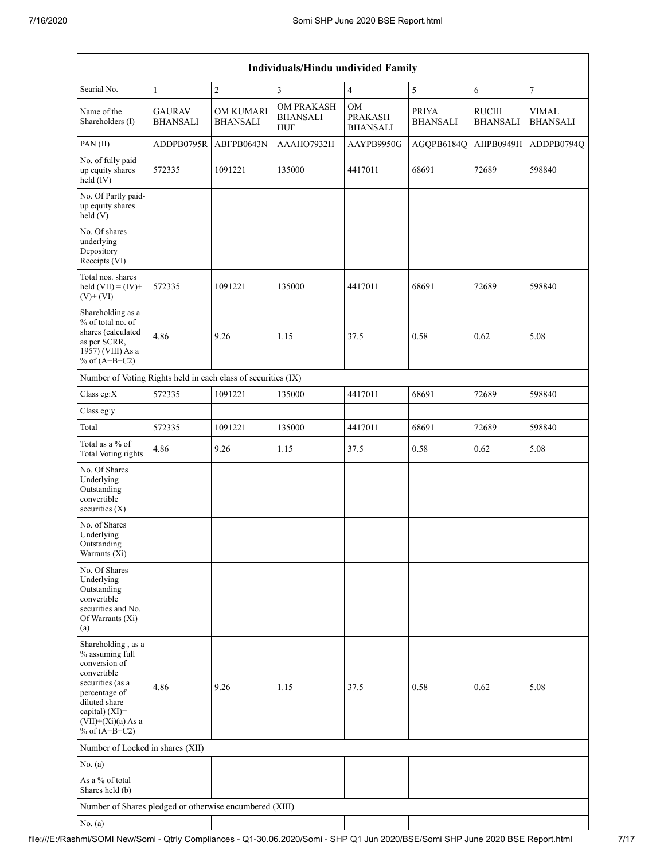| <b>Individuals/Hindu undivided Family</b>                                                                                                                                                |                                  |                                     |                                                    |                                                |                                 |                                 |                                 |  |
|------------------------------------------------------------------------------------------------------------------------------------------------------------------------------------------|----------------------------------|-------------------------------------|----------------------------------------------------|------------------------------------------------|---------------------------------|---------------------------------|---------------------------------|--|
| Searial No.                                                                                                                                                                              | $\mathbf{1}$                     | $\sqrt{2}$                          | $\overline{3}$                                     | $\overline{4}$                                 | 5                               | 6                               | $\overline{7}$                  |  |
| Name of the<br>Shareholders (I)                                                                                                                                                          | <b>GAURAV</b><br><b>BHANSALI</b> | <b>OM KUMARI</b><br><b>BHANSALI</b> | <b>OM PRAKASH</b><br><b>BHANSALI</b><br><b>HUF</b> | <b>OM</b><br><b>PRAKASH</b><br><b>BHANSALI</b> | <b>PRIYA</b><br><b>BHANSALI</b> | <b>RUCHI</b><br><b>BHANSALI</b> | <b>VIMAL</b><br><b>BHANSALI</b> |  |
| PAN (II)                                                                                                                                                                                 | ADDPB0795R                       | ABFPB0643N                          | AAAHO7932H                                         | AAYPB9950G                                     | AGQPB6184Q                      | AIIPB0949H                      | ADDPB0794Q                      |  |
| No. of fully paid<br>up equity shares<br>held (IV)                                                                                                                                       | 572335                           | 1091221                             | 135000                                             | 4417011                                        | 68691                           | 72689                           | 598840                          |  |
| No. Of Partly paid-<br>up equity shares<br>held(V)                                                                                                                                       |                                  |                                     |                                                    |                                                |                                 |                                 |                                 |  |
| No. Of shares<br>underlying<br>Depository<br>Receipts (VI)                                                                                                                               |                                  |                                     |                                                    |                                                |                                 |                                 |                                 |  |
| Total nos. shares<br>held $(VII) = (IV) +$<br>$(V)+(VI)$                                                                                                                                 | 572335                           | 1091221                             | 135000                                             | 4417011                                        | 68691                           | 72689                           | 598840                          |  |
| Shareholding as a<br>% of total no. of<br>shares (calculated<br>as per SCRR,<br>1957) (VIII) As a<br>% of $(A+B+C2)$                                                                     | 4.86                             | 9.26                                | 1.15                                               | 37.5                                           | 0.58                            | 0.62                            | 5.08                            |  |
| Number of Voting Rights held in each class of securities (IX)                                                                                                                            |                                  |                                     |                                                    |                                                |                                 |                                 |                                 |  |
| Class eg:X                                                                                                                                                                               | 572335                           | 1091221                             | 135000                                             | 4417011                                        | 68691                           | 72689                           | 598840                          |  |
| Class eg:y                                                                                                                                                                               |                                  |                                     |                                                    |                                                |                                 |                                 |                                 |  |
| Total                                                                                                                                                                                    | 572335                           | 1091221                             | 135000                                             | 4417011                                        | 68691                           | 72689                           | 598840                          |  |
| Total as a % of<br>Total Voting rights                                                                                                                                                   | 4.86                             | 9.26                                | 1.15                                               | 37.5                                           | 0.58                            | 0.62                            | 5.08                            |  |
| No. Of Shares<br>Underlying<br>Outstanding<br>convertible<br>securities $(X)$                                                                                                            |                                  |                                     |                                                    |                                                |                                 |                                 |                                 |  |
| No. of Shares<br>Underlying<br>Outstanding<br>Warrants (Xi)                                                                                                                              |                                  |                                     |                                                    |                                                |                                 |                                 |                                 |  |
| No. Of Shares<br>Underlying<br>Outstanding<br>convertible<br>securities and No.<br>Of Warrants (Xi)<br>(a)                                                                               |                                  |                                     |                                                    |                                                |                                 |                                 |                                 |  |
| Shareholding, as a<br>% assuming full<br>conversion of<br>convertible<br>securities (as a<br>percentage of<br>diluted share<br>capital) (XI)=<br>$(VII)+(Xi)(a) As a$<br>% of $(A+B+C2)$ | 4.86                             | 9.26                                | 1.15                                               | 37.5                                           | 0.58                            | 0.62                            | 5.08                            |  |
| Number of Locked in shares (XII)                                                                                                                                                         |                                  |                                     |                                                    |                                                |                                 |                                 |                                 |  |
| No. (a)                                                                                                                                                                                  |                                  |                                     |                                                    |                                                |                                 |                                 |                                 |  |
| As a % of total<br>Shares held (b)                                                                                                                                                       |                                  |                                     |                                                    |                                                |                                 |                                 |                                 |  |
| Number of Shares pledged or otherwise encumbered (XIII)                                                                                                                                  |                                  |                                     |                                                    |                                                |                                 |                                 |                                 |  |
| No. (a)                                                                                                                                                                                  |                                  |                                     |                                                    |                                                |                                 |                                 |                                 |  |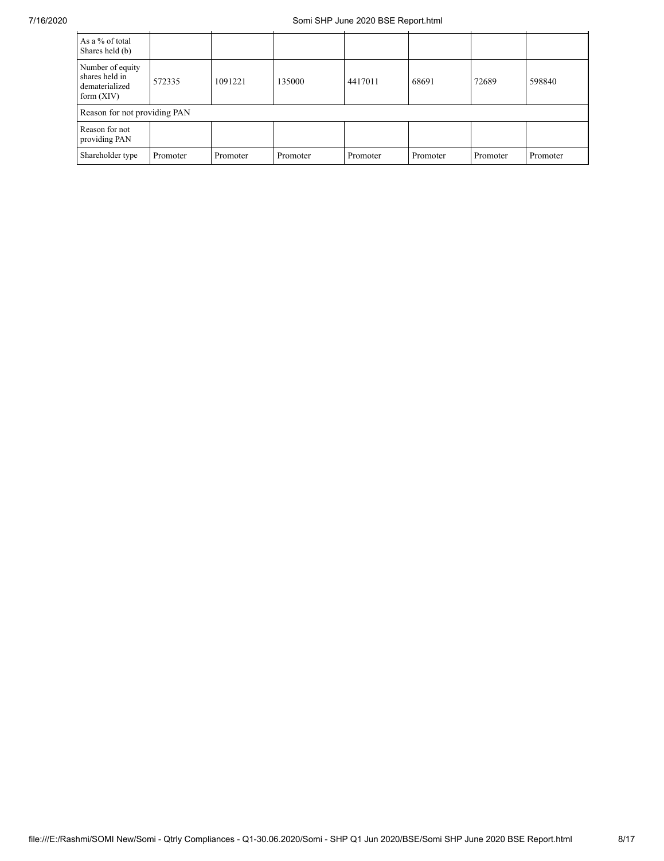| As a % of total<br>Shares held (b)                                   |          |          |          |          |          |          |          |
|----------------------------------------------------------------------|----------|----------|----------|----------|----------|----------|----------|
| Number of equity<br>shares held in<br>dematerialized<br>form $(XIV)$ | 572335   | 1091221  | 135000   | 4417011  | 68691    | 72689    | 598840   |
| Reason for not providing PAN                                         |          |          |          |          |          |          |          |
| Reason for not<br>providing PAN                                      |          |          |          |          |          |          |          |
| Shareholder type                                                     | Promoter | Promoter | Promoter | Promoter | Promoter | Promoter | Promoter |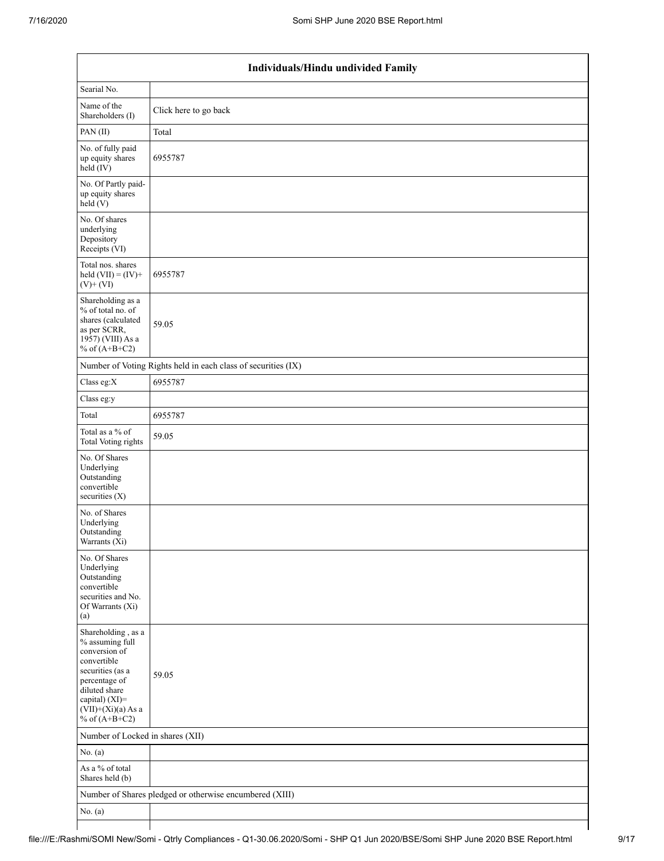$\overline{\phantom{a}}$ 

|                                                                                                                                                                                          | Individuals/Hindu undivided Family                            |
|------------------------------------------------------------------------------------------------------------------------------------------------------------------------------------------|---------------------------------------------------------------|
| Searial No.                                                                                                                                                                              |                                                               |
| Name of the<br>Shareholders (I)                                                                                                                                                          | Click here to go back                                         |
| PAN(II)                                                                                                                                                                                  | Total                                                         |
| No. of fully paid<br>up equity shares<br>$\text{held}(\text{IV})$                                                                                                                        | 6955787                                                       |
| No. Of Partly paid-<br>up equity shares<br>held(V)                                                                                                                                       |                                                               |
| No. Of shares<br>underlying<br>Depository<br>Receipts (VI)                                                                                                                               |                                                               |
| Total nos. shares<br>held $(VII) = (IV) +$<br>$(V)+(VI)$                                                                                                                                 | 6955787                                                       |
| Shareholding as a<br>% of total no. of<br>shares (calculated<br>as per SCRR,<br>1957) (VIII) As a<br>% of $(A+B+C2)$                                                                     | 59.05                                                         |
|                                                                                                                                                                                          | Number of Voting Rights held in each class of securities (IX) |
| Class eg:X                                                                                                                                                                               | 6955787                                                       |
| Class eg:y                                                                                                                                                                               |                                                               |
| Total                                                                                                                                                                                    | 6955787                                                       |
| Total as a % of<br>Total Voting rights                                                                                                                                                   | 59.05                                                         |
| No. Of Shares<br>Underlying<br>Outstanding<br>convertible<br>securities $(X)$                                                                                                            |                                                               |
| No. of Shares<br>Underlying<br>Outstanding<br>Warrants $(X_1)$                                                                                                                           |                                                               |
| No. Of Shares<br>Underlying<br>Outstanding<br>convertible<br>securities and No.<br>Of Warrants (Xi)<br>(a)                                                                               |                                                               |
| Shareholding, as a<br>% assuming full<br>conversion of<br>convertible<br>securities (as a<br>percentage of<br>diluted share<br>capital) (XI)=<br>$(VII)+(Xi)(a)$ As a<br>% of $(A+B+C2)$ | 59.05                                                         |
| Number of Locked in shares (XII)                                                                                                                                                         |                                                               |
| No. (a)                                                                                                                                                                                  |                                                               |
| As a % of total<br>Shares held (b)                                                                                                                                                       |                                                               |
|                                                                                                                                                                                          | Number of Shares pledged or otherwise encumbered (XIII)       |
| No. $(a)$                                                                                                                                                                                |                                                               |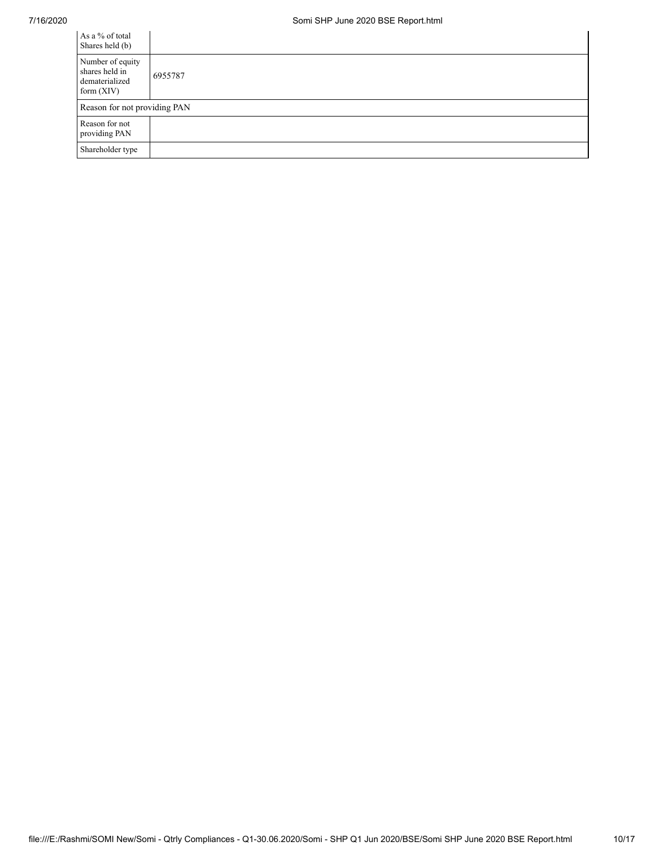| As a % of total<br>Shares held (b)                                   |         |
|----------------------------------------------------------------------|---------|
| Number of equity<br>shares held in<br>dematerialized<br>form $(XIV)$ | 6955787 |
| Reason for not providing PAN                                         |         |
| Reason for not<br>providing PAN                                      |         |
| Shareholder type                                                     |         |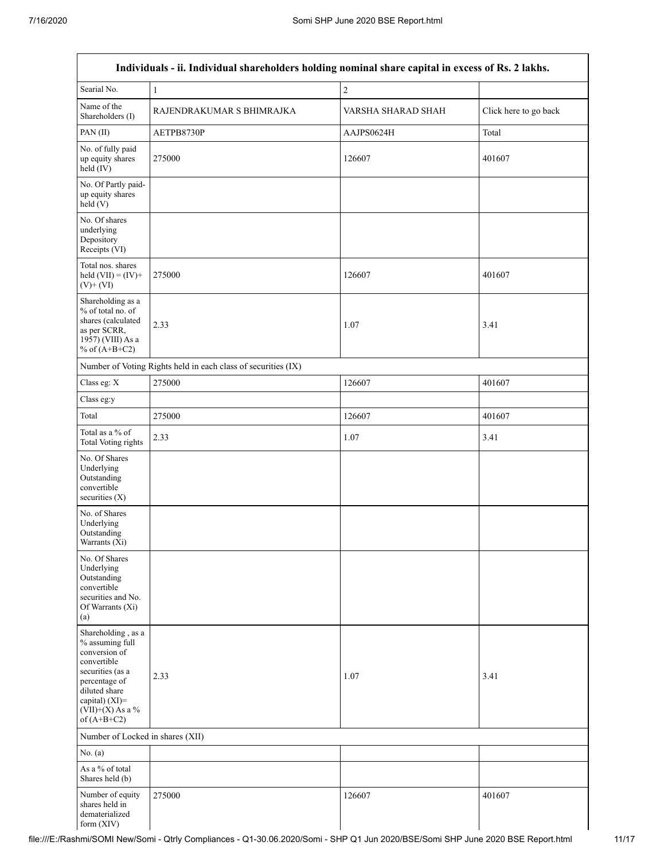| Individuals - ii. Individual shareholders holding nominal share capital in excess of Rs. 2 lakhs.                                                                                    |                                                               |                    |                       |  |  |  |  |
|--------------------------------------------------------------------------------------------------------------------------------------------------------------------------------------|---------------------------------------------------------------|--------------------|-----------------------|--|--|--|--|
| Searial No.                                                                                                                                                                          | $\mathbf{1}$                                                  | $\overline{c}$     |                       |  |  |  |  |
| Name of the<br>Shareholders (I)                                                                                                                                                      | RAJENDRAKUMAR S BHIMRAJKA                                     | VARSHA SHARAD SHAH | Click here to go back |  |  |  |  |
| PAN(II)                                                                                                                                                                              | AETPB8730P                                                    | AAJPS0624H         | Total                 |  |  |  |  |
| No. of fully paid<br>up equity shares<br>held (IV)                                                                                                                                   | 275000                                                        | 126607             | 401607                |  |  |  |  |
| No. Of Partly paid-<br>up equity shares<br>held(V)                                                                                                                                   |                                                               |                    |                       |  |  |  |  |
| No. Of shares<br>underlying<br>Depository<br>Receipts (VI)                                                                                                                           |                                                               |                    |                       |  |  |  |  |
| Total nos. shares<br>held $(VII) = (IV) +$<br>$(V)$ + $(VI)$                                                                                                                         | 275000                                                        | 126607             | 401607                |  |  |  |  |
| Shareholding as a<br>% of total no. of<br>shares (calculated<br>as per SCRR,<br>1957) (VIII) As a<br>% of $(A+B+C2)$                                                                 | 2.33                                                          | 1.07               | 3.41                  |  |  |  |  |
|                                                                                                                                                                                      | Number of Voting Rights held in each class of securities (IX) |                    |                       |  |  |  |  |
| Class eg: X                                                                                                                                                                          | 275000                                                        | 126607             | 401607                |  |  |  |  |
| Class eg:y                                                                                                                                                                           |                                                               |                    |                       |  |  |  |  |
| Total                                                                                                                                                                                | 275000                                                        | 126607             | 401607                |  |  |  |  |
| Total as a % of<br>Total Voting rights                                                                                                                                               | 2.33                                                          | 1.07               | 3.41                  |  |  |  |  |
| No. Of Shares<br>Underlying<br>Outstanding<br>convertible<br>securities $(X)$                                                                                                        |                                                               |                    |                       |  |  |  |  |
| No. of Shares<br>Underlying<br>Outstanding<br>Warrants (Xi)                                                                                                                          |                                                               |                    |                       |  |  |  |  |
| No. Of Shares<br>Underlying<br>Outstanding<br>convertible<br>securities and No.<br>Of Warrants (Xi)<br>(a)                                                                           |                                                               |                    |                       |  |  |  |  |
| Shareholding, as a<br>% assuming full<br>conversion of<br>convertible<br>securities (as a<br>percentage of<br>diluted share<br>capital) (XI)=<br>$(VII)+(X)$ As a %<br>of $(A+B+C2)$ | 2.33                                                          | 1.07               | 3.41                  |  |  |  |  |
| Number of Locked in shares (XII)                                                                                                                                                     |                                                               |                    |                       |  |  |  |  |
| No. (a)                                                                                                                                                                              |                                                               |                    |                       |  |  |  |  |
| As a % of total<br>Shares held (b)                                                                                                                                                   |                                                               |                    |                       |  |  |  |  |
| Number of equity<br>shares held in<br>dematerialized<br>form (XIV)                                                                                                                   | 275000                                                        | 126607             | 401607                |  |  |  |  |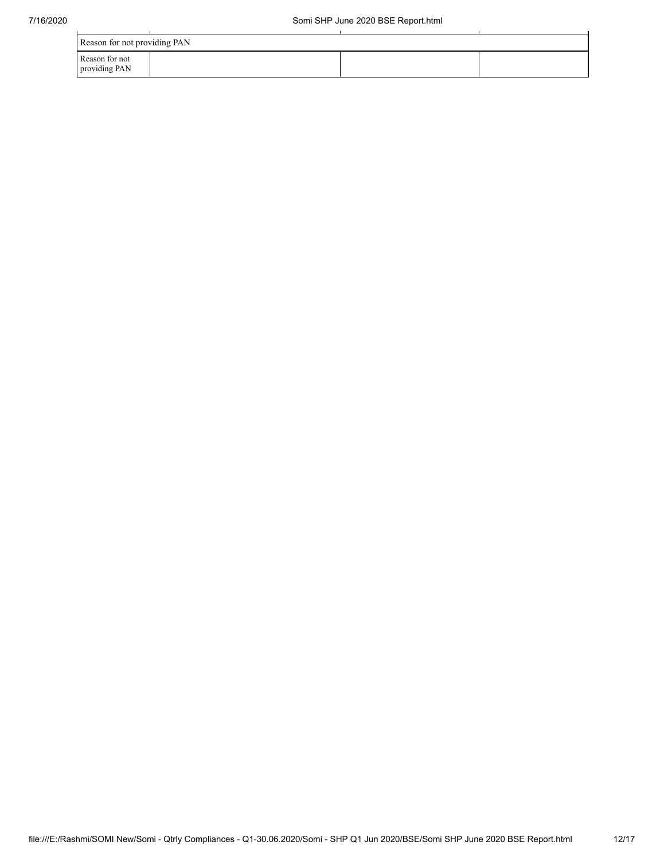| Reason for not providing PAN    |  |  |  |  |  |  |  |
|---------------------------------|--|--|--|--|--|--|--|
| Reason for not<br>providing PAN |  |  |  |  |  |  |  |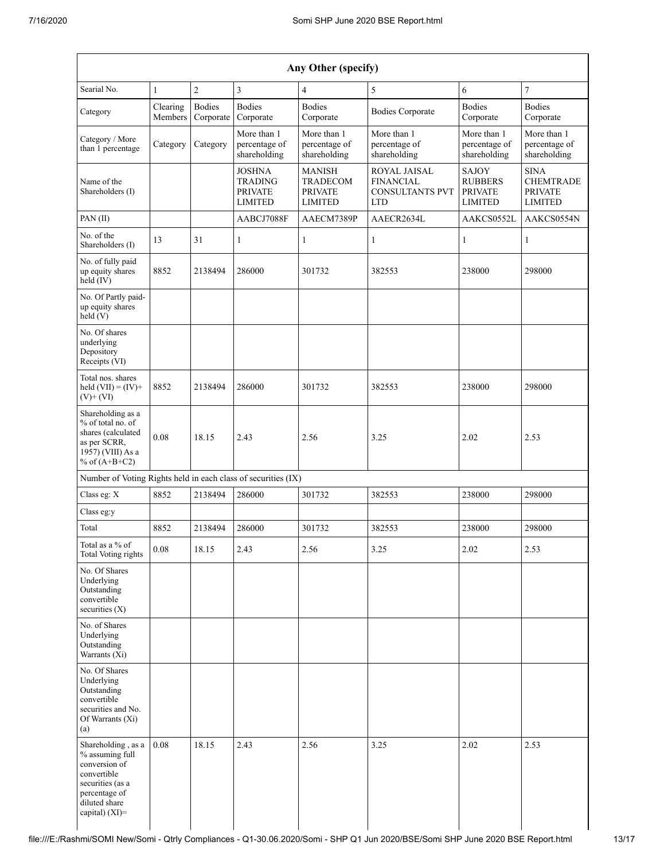| Any Other (specify)                                                                                                                              |                       |                            |                                                                     |                                                                      |                                                                                 |                                                             |                                                                     |  |  |  |
|--------------------------------------------------------------------------------------------------------------------------------------------------|-----------------------|----------------------------|---------------------------------------------------------------------|----------------------------------------------------------------------|---------------------------------------------------------------------------------|-------------------------------------------------------------|---------------------------------------------------------------------|--|--|--|
| Searial No.                                                                                                                                      | $\mathbf{1}$          | $\overline{2}$             | 3                                                                   | $\overline{4}$                                                       | 5                                                                               | 6                                                           | 7                                                                   |  |  |  |
| Category                                                                                                                                         | Clearing<br>Members   | <b>Bodies</b><br>Corporate | <b>Bodies</b><br>Corporate                                          | <b>Bodies</b><br>Corporate                                           | <b>Bodies Corporate</b>                                                         | <b>Bodies</b><br>Corporate                                  | <b>Bodies</b><br>Corporate                                          |  |  |  |
| Category / More<br>than 1 percentage                                                                                                             | Category              | Category                   | More than 1<br>percentage of<br>shareholding                        | More than 1<br>percentage of<br>shareholding                         | More than 1<br>percentage of<br>shareholding                                    |                                                             | More than 1<br>percentage of<br>shareholding                        |  |  |  |
| Name of the<br>Shareholders (I)                                                                                                                  |                       |                            | <b>JOSHNA</b><br><b>TRADING</b><br><b>PRIVATE</b><br><b>LIMITED</b> | <b>MANISH</b><br><b>TRADECOM</b><br><b>PRIVATE</b><br><b>LIMITED</b> | <b>ROYAL JAISAL</b><br><b>FINANCIAL</b><br><b>CONSULTANTS PVT</b><br><b>LTD</b> | SAJOY<br><b>RUBBERS</b><br><b>PRIVATE</b><br><b>LIMITED</b> | <b>SINA</b><br><b>CHEMTRADE</b><br><b>PRIVATE</b><br><b>LIMITED</b> |  |  |  |
| $PAN$ (II)                                                                                                                                       |                       |                            | AABCJ7088F                                                          | AAECM7389P                                                           | AAECR2634L                                                                      | AAKCS0552L                                                  | AAKCS0554N                                                          |  |  |  |
| No. of the<br>Shareholders (I)                                                                                                                   | 13                    | 31                         | $\mathbf{1}$                                                        | 1                                                                    | $\mathbf{1}$                                                                    | 1                                                           | $\mathbf{1}$                                                        |  |  |  |
| No. of fully paid<br>up equity shares<br>held (IV)                                                                                               | 8852                  | 2138494                    | 286000                                                              | 301732                                                               | 382553                                                                          | 238000                                                      | 298000                                                              |  |  |  |
| No. Of Partly paid-<br>up equity shares<br>held(V)                                                                                               |                       |                            |                                                                     |                                                                      |                                                                                 |                                                             |                                                                     |  |  |  |
| No. Of shares<br>underlying<br>Depository<br>Receipts (VI)                                                                                       |                       |                            |                                                                     |                                                                      |                                                                                 |                                                             |                                                                     |  |  |  |
| Total nos, shares<br>8852<br>held $(VII) = (IV) +$<br>2138494<br>$(V)+(VI)$                                                                      |                       | 286000                     | 301732                                                              | 382553                                                               | 238000                                                                          | 298000                                                      |                                                                     |  |  |  |
| Shareholding as a<br>% of total no. of<br>shares (calculated<br>as per SCRR,<br>1957) (VIII) As a<br>% of $(A+B+C2)$                             | 0.08<br>18.15<br>2.43 |                            |                                                                     | 2.56                                                                 | 3.25                                                                            | 2.02                                                        | 2.53                                                                |  |  |  |
| Number of Voting Rights held in each class of securities (IX)                                                                                    |                       |                            |                                                                     |                                                                      |                                                                                 |                                                             |                                                                     |  |  |  |
| Class eg: X                                                                                                                                      | 8852                  | 2138494                    | 286000                                                              | 301732                                                               | 382553                                                                          | 238000                                                      | 298000                                                              |  |  |  |
| Class eg:y                                                                                                                                       |                       |                            |                                                                     |                                                                      |                                                                                 |                                                             |                                                                     |  |  |  |
| Total                                                                                                                                            | 8852                  | 2138494                    | 286000                                                              | 301732                                                               | 382553                                                                          | 238000                                                      | 298000                                                              |  |  |  |
| Total as a % of<br>Total Voting rights                                                                                                           | $0.08\,$              | 18.15                      | 2.43                                                                | 2.56                                                                 | 3.25                                                                            | 2.02                                                        | 2.53                                                                |  |  |  |
| No. Of Shares<br>Underlying<br>Outstanding<br>convertible<br>securities $(X)$                                                                    |                       |                            |                                                                     |                                                                      |                                                                                 |                                                             |                                                                     |  |  |  |
| No. of Shares<br>Underlying<br>Outstanding<br>Warrants (Xi)                                                                                      |                       |                            |                                                                     |                                                                      |                                                                                 |                                                             |                                                                     |  |  |  |
| No. Of Shares<br>Underlying<br>Outstanding<br>convertible<br>securities and No.<br>Of Warrants (Xi)<br>(a)                                       |                       |                            |                                                                     |                                                                      |                                                                                 |                                                             |                                                                     |  |  |  |
| Shareholding, as a<br>% assuming full<br>conversion of<br>convertible<br>securities (as a<br>percentage of<br>diluted share<br>capital) $(XI)$ = | 0.08                  | 18.15                      | 2.43                                                                | 2.56                                                                 | 3.25                                                                            | 2.02                                                        | 2.53                                                                |  |  |  |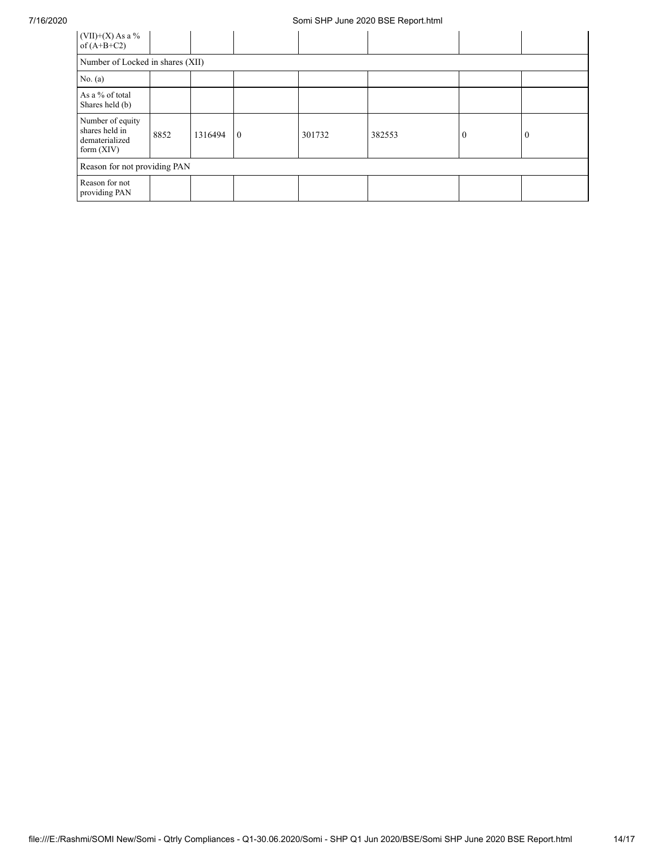## 7/16/2020 Somi SHP June 2020 BSE Report.html

| $(VII)+(X)$ As a %<br>of $(A+B+C2)$                                  |      |         |                |        |        |          |          |
|----------------------------------------------------------------------|------|---------|----------------|--------|--------|----------|----------|
| Number of Locked in shares (XII)                                     |      |         |                |        |        |          |          |
| No. $(a)$                                                            |      |         |                |        |        |          |          |
| As a % of total<br>Shares held (b)                                   |      |         |                |        |        |          |          |
| Number of equity<br>shares held in<br>dematerialized<br>form $(XIV)$ | 8852 | 1316494 | $\overline{0}$ | 301732 | 382553 | $\theta$ | $\theta$ |
| Reason for not providing PAN                                         |      |         |                |        |        |          |          |
| Reason for not<br>providing PAN                                      |      |         |                |        |        |          |          |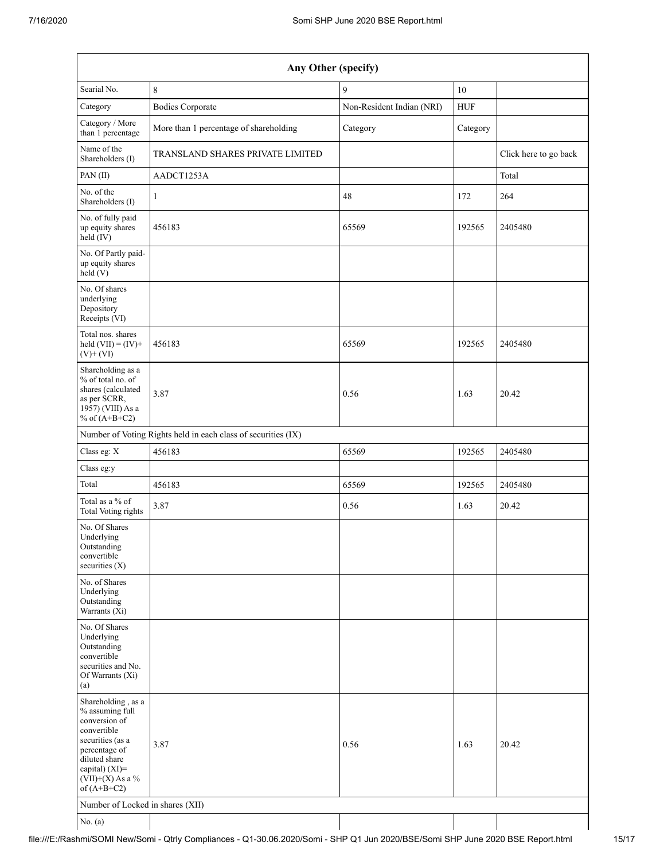| Any Other (specify)                                                                                                                                                                     |                                                               |                           |            |                       |  |  |  |  |  |  |
|-----------------------------------------------------------------------------------------------------------------------------------------------------------------------------------------|---------------------------------------------------------------|---------------------------|------------|-----------------------|--|--|--|--|--|--|
| Searial No.                                                                                                                                                                             | $\,8\,$                                                       | 9                         | $10\,$     |                       |  |  |  |  |  |  |
| Category                                                                                                                                                                                | <b>Bodies Corporate</b>                                       | Non-Resident Indian (NRI) | <b>HUF</b> |                       |  |  |  |  |  |  |
| Category / More<br>than 1 percentage                                                                                                                                                    | More than 1 percentage of shareholding                        | Category                  | Category   |                       |  |  |  |  |  |  |
| Name of the<br>Shareholders (I)                                                                                                                                                         | TRANSLAND SHARES PRIVATE LIMITED                              |                           |            | Click here to go back |  |  |  |  |  |  |
| PAN(II)                                                                                                                                                                                 | AADCT1253A                                                    |                           |            | Total                 |  |  |  |  |  |  |
| No. of the<br>Shareholders (I)                                                                                                                                                          | $\mathbf{1}$                                                  | 48                        | 172        | 264                   |  |  |  |  |  |  |
| No. of fully paid<br>up equity shares<br>held (IV)                                                                                                                                      | 456183                                                        | 65569                     | 192565     | 2405480               |  |  |  |  |  |  |
| No. Of Partly paid-<br>up equity shares<br>held(V)                                                                                                                                      |                                                               |                           |            |                       |  |  |  |  |  |  |
| No. Of shares<br>underlying<br>Depository<br>Receipts (VI)                                                                                                                              |                                                               |                           |            |                       |  |  |  |  |  |  |
| Total nos. shares<br>held $(VII) = (IV) +$<br>$(V)+(VI)$                                                                                                                                | 456183                                                        | 65569                     | 192565     | 2405480               |  |  |  |  |  |  |
| Shareholding as a<br>% of total no. of<br>shares (calculated<br>as per SCRR,<br>1957) (VIII) As a<br>% of $(A+B+C2)$                                                                    | 3.87                                                          | 0.56                      | 1.63       | 20.42                 |  |  |  |  |  |  |
|                                                                                                                                                                                         | Number of Voting Rights held in each class of securities (IX) |                           |            |                       |  |  |  |  |  |  |
| Class eg: X                                                                                                                                                                             | 456183                                                        | 65569                     | 192565     | 2405480               |  |  |  |  |  |  |
| Class eg:y                                                                                                                                                                              |                                                               |                           |            |                       |  |  |  |  |  |  |
| Total                                                                                                                                                                                   | 456183                                                        | 65569                     | 192565     | 2405480               |  |  |  |  |  |  |
| Total as a % of<br><b>Total Voting rights</b>                                                                                                                                           | 3.87                                                          | 0.56                      | 1.63       | 20.42                 |  |  |  |  |  |  |
| No. Of Shares<br>Underlying<br>Outstanding<br>convertible<br>securities $(X)$                                                                                                           |                                                               |                           |            |                       |  |  |  |  |  |  |
| No. of Shares<br>Underlying<br>Outstanding<br>Warrants (Xi)                                                                                                                             |                                                               |                           |            |                       |  |  |  |  |  |  |
| No. Of Shares<br>Underlying<br>Outstanding<br>convertible<br>securities and No.<br>Of Warrants (Xi)<br>(a)                                                                              |                                                               |                           |            |                       |  |  |  |  |  |  |
| Shareholding, as a<br>% assuming full<br>conversion of<br>convertible<br>securities (as a<br>percentage of<br>diluted share<br>capital) $(XI)$ =<br>$(VII)+(X)$ As a %<br>of $(A+B+C2)$ | 3.87                                                          | 0.56                      | 1.63       | 20.42                 |  |  |  |  |  |  |
| Number of Locked in shares (XII)                                                                                                                                                        |                                                               |                           |            |                       |  |  |  |  |  |  |
| No. $(a)$                                                                                                                                                                               |                                                               |                           |            |                       |  |  |  |  |  |  |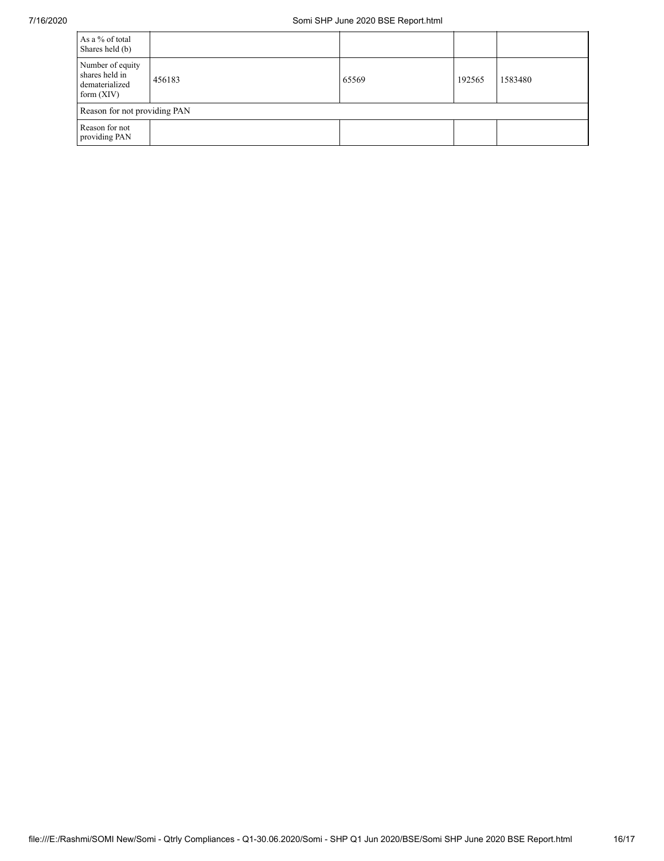| As a % of total<br>Shares held (b)                                   |        |       |        |         |  |  |  |  |  |  |
|----------------------------------------------------------------------|--------|-------|--------|---------|--|--|--|--|--|--|
| Number of equity<br>shares held in<br>dematerialized<br>form $(XIV)$ | 456183 | 65569 | 192565 | 1583480 |  |  |  |  |  |  |
| Reason for not providing PAN                                         |        |       |        |         |  |  |  |  |  |  |
| Reason for not<br>providing PAN                                      |        |       |        |         |  |  |  |  |  |  |